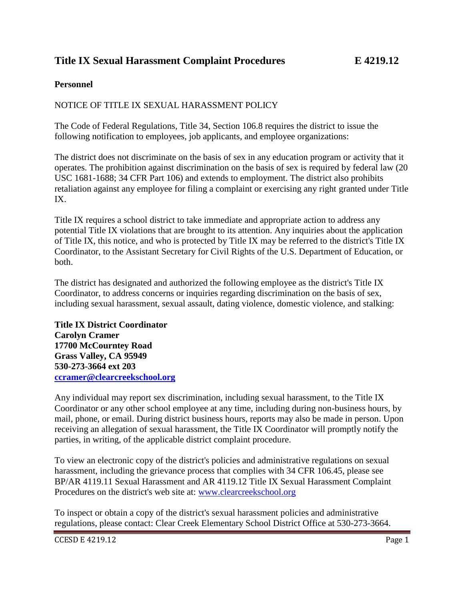## **Title IX Sexual Harassment Complaint Procedures E 4219.12**

## **Personnel**

## NOTICE OF TITLE IX SEXUAL HARASSMENT POLICY

The Code of Federal Regulations, Title 34, Section 106.8 requires the district to issue the following notification to employees, job applicants, and employee organizations:

The district does not discriminate on the basis of sex in any education program or activity that it operates. The prohibition against discrimination on the basis of sex is required by federal law (20 USC 1681-1688; 34 CFR Part 106) and extends to employment. The district also prohibits retaliation against any employee for filing a complaint or exercising any right granted under Title IX.

Title IX requires a school district to take immediate and appropriate action to address any potential Title IX violations that are brought to its attention. Any inquiries about the application of Title IX, this notice, and who is protected by Title IX may be referred to the district's Title IX Coordinator, to the Assistant Secretary for Civil Rights of the U.S. Department of Education, or both.

The district has designated and authorized the following employee as the district's Title IX Coordinator, to address concerns or inquiries regarding discrimination on the basis of sex, including sexual harassment, sexual assault, dating violence, domestic violence, and stalking:

**Title IX District Coordinator Carolyn Cramer 17700 McCourntey Road Grass Valley, CA 95949 530-273-3664 ext 203 [ccramer@clearcreekschool.org](mailto:ccramer@clearcreekschool.org)**

Any individual may report sex discrimination, including sexual harassment, to the Title IX Coordinator or any other school employee at any time, including during non-business hours, by mail, phone, or email. During district business hours, reports may also be made in person. Upon receiving an allegation of sexual harassment, the Title IX Coordinator will promptly notify the parties, in writing, of the applicable district complaint procedure.

To view an electronic copy of the district's policies and administrative regulations on sexual harassment, including the grievance process that complies with 34 CFR 106.45, please see BP/AR 4119.11 Sexual Harassment and AR 4119.12 Title IX Sexual Harassment Complaint Procedures on the district's web site at: [www.clearcreekschool.org](../Board%20Policy%20Drafts/www.clearcreekschool.org)

To inspect or obtain a copy of the district's sexual harassment policies and administrative regulations, please contact: Clear Creek Elementary School District Office at 530-273-3664.